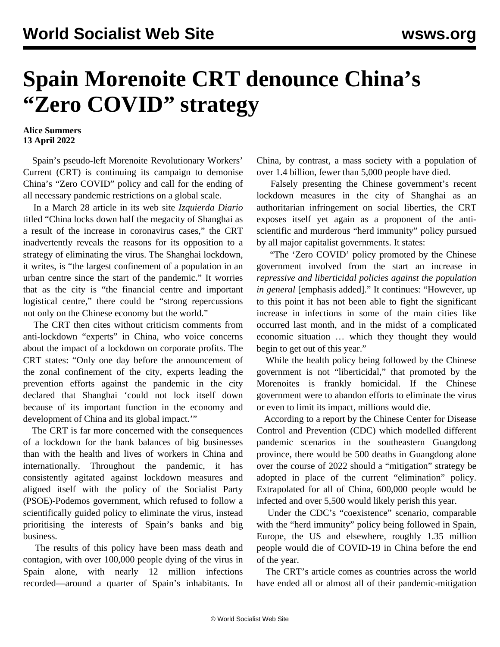## **Spain Morenoite CRT denounce China's "Zero COVID" strategy**

## **Alice Summers 13 April 2022**

 Spain's pseudo-left Morenoite Revolutionary Workers' Current (CRT) is continuing its campaign to demonise China's "Zero COVID" policy and call for the ending of all necessary pandemic restrictions on a global scale.

 In a March 28 article in its web site *Izquierda Diario* titled "China locks down half the megacity of Shanghai as a result of the increase in coronavirus cases," the CRT inadvertently reveals the reasons for its opposition to a strategy of eliminating the virus. The Shanghai lockdown, it writes, is "the largest confinement of a population in an urban centre since the start of the pandemic." It worries that as the city is "the financial centre and important logistical centre," there could be "strong repercussions not only on the Chinese economy but the world."

 The CRT then cites without criticism comments from anti-lockdown "experts" in China, who voice concerns about the impact of a lockdown on corporate profits. The CRT states: "Only one day before the announcement of the zonal confinement of the city, experts leading the prevention efforts against the pandemic in the city declared that Shanghai 'could not lock itself down because of its important function in the economy and development of China and its global impact.'"

 The CRT is far more concerned with the consequences of a lockdown for the bank balances of big businesses than with the health and lives of workers in China and internationally. Throughout the pandemic, it has consistently [agitated](/en/articles/2021/02/04/spai-f04.html) against lockdown measures and aligned itself with the policy of the Socialist Party (PSOE)-Podemos government, which refused to follow a scientifically guided policy to eliminate the virus, instead prioritising the interests of Spain's banks and big business.

 The results of this policy have been mass death and contagion, with over 100,000 people dying of the virus in Spain alone, with nearly 12 million infections recorded—around a quarter of Spain's inhabitants. In China, by contrast, a mass society with a population of over 1.4 billion, fewer than 5,000 people have died.

 Falsely presenting the Chinese government's recent lockdown measures in the city of Shanghai as an authoritarian infringement on social liberties, the CRT exposes itself yet again as a proponent of the antiscientific and murderous "herd immunity" policy pursued by all major capitalist governments. It states:

 "The 'Zero COVID' policy promoted by the Chinese government involved from the start an increase in *repressive and liberticidal policies against the population in general* [emphasis added]." It continues: "However, up to this point it has not been able to fight the significant increase in infections in some of the main cities like occurred last month, and in the midst of a complicated economic situation … which they thought they would begin to get out of this year."

 While the health policy being followed by the Chinese government is not "liberticidal," that promoted by the Morenoites is frankly homicidal. If the Chinese government were to abandon efforts to eliminate the virus or even to limit its impact, millions would die.

 According to a report by the Chinese Center for Disease Control and Prevention (CDC) which modelled different pandemic scenarios in the southeastern Guangdong province, there would be 500 deaths in Guangdong alone over the course of 2022 should a "mitigation" strategy be adopted in place of the current "elimination" policy. Extrapolated for all of China, 600,000 people would be infected and over 5,500 would likely perish this year.

 Under the CDC's "coexistence" scenario, comparable with the "herd immunity" policy being followed in Spain, Europe, the US and elsewhere, roughly 1.35 million people would die of COVID-19 in China before the end of the year.

 The CRT's article comes as countries across the world have ended all or almost all of their pandemic-mitigation